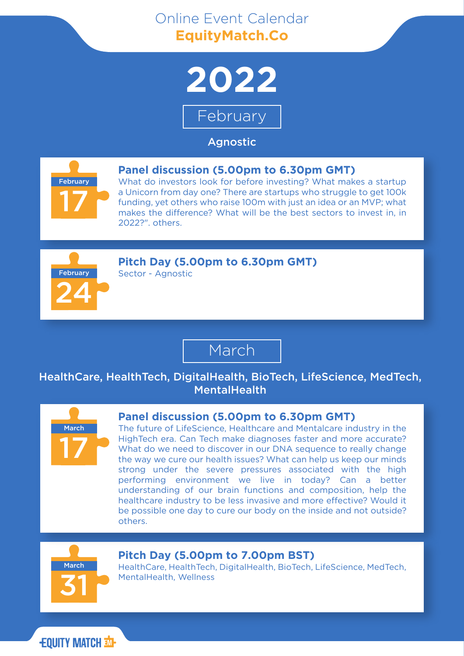# Online Event Calendar **EquityMatch.Co**



February

### Agnostic



#### **Panel discussion (5.00pm to 6.30pm GMT)**

What do investors look for before investing? What makes a startup a Unicorn from day one? There are startups who struggle to get 100k funding, yet others who raise 100m with just an idea or an MVP; what makes the difference? What will be the best sectors to invest in, in 2022?". others.



#### **Pitch Day (5.00pm to 6.30pm GMT)**

Sector - Agnostic

## March

### HealthCare, HealthTech, DigitalHealth, BioTech, LifeScience, MedTech, **MentalHealth**



#### **Panel discussion (5.00pm to 6.30pm GMT)**

The future of LifeScience, Healthcare and Mentalcare industry in the HighTech era. Can Tech make diagnoses faster and more accurate? What do we need to discover in our DNA sequence to really change the way we cure our health issues? What can help us keep our minds strong under the severe pressures associated with the high performing environment we live in today? Can a better understanding of our brain functions and composition, help the healthcare industry to be less invasive and more effective? Would it be possible one day to cure our body on the inside and not outside? others.



#### **Pitch Day (5.00pm to 7.00pm BST)**

HealthCare, HealthTech, DigitalHealth, BioTech, LifeScience, MedTech, MentalHealth, Wellness

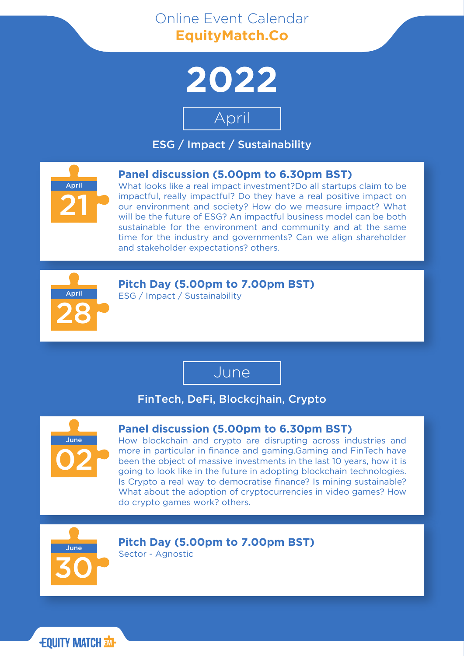# Online Event Calendar **EquityMatch.Co**



# April

ESG / Impact / Sustainability



#### **Panel discussion (5.00pm to 6.30pm BST)**

What looks like a real impact investment?Do all startups claim to be impactful, really impactful? Do they have a real positive impact on our environment and society? How do we measure impact? What will be the future of ESG? An impactful business model can be both sustainable for the environment and community and at the same time for the industry and governments? Can we align shareholder and stakeholder expectations? others.



**Pitch Day (5.00pm to 7.00pm BST)**

ESG / Impact / Sustainability

### June

### FinTech, DeFi, Blockcjhain, Crypto



#### **Panel discussion (5.00pm to 6.30pm BST)**

How blockchain and crypto are disrupting across industries and more in particular in finance and gaming.Gaming and FinTech have been the object of massive investments in the last 10 years, how it is going to look like in the future in adopting blockchain technologies. Is Crypto a real way to democratise finance? Is mining sustainable? What about the adoption of cryptocurrencies in video games? How do crypto games work? others.



**Pitch Day (5.00pm to 7.00pm BST)** Sector - Agnostic